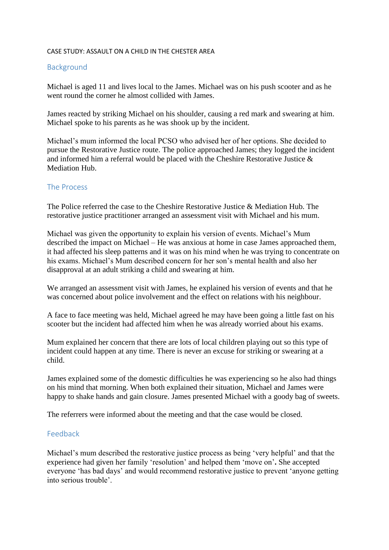## CASE STUDY: ASSAULT ON A CHILD IN THE CHESTER AREA

## Background

Michael is aged 11 and lives local to the James. Michael was on his push scooter and as he went round the corner he almost collided with James.

James reacted by striking Michael on his shoulder, causing a red mark and swearing at him. Michael spoke to his parents as he was shook up by the incident.

Michael's mum informed the local PCSO who advised her of her options. She decided to pursue the Restorative Justice route. The police approached James; they logged the incident and informed him a referral would be placed with the Cheshire Restorative Justice & Mediation Hub.

## The Process

The Police referred the case to the Cheshire Restorative Justice & Mediation Hub. The restorative justice practitioner arranged an assessment visit with Michael and his mum.

Michael was given the opportunity to explain his version of events. Michael's Mum described the impact on Michael – He was anxious at home in case James approached them, it had affected his sleep patterns and it was on his mind when he was trying to concentrate on his exams. Michael's Mum described concern for her son's mental health and also her disapproval at an adult striking a child and swearing at him.

We arranged an assessment visit with James, he explained his version of events and that he was concerned about police involvement and the effect on relations with his neighbour.

A face to face meeting was held, Michael agreed he may have been going a little fast on his scooter but the incident had affected him when he was already worried about his exams.

Mum explained her concern that there are lots of local children playing out so this type of incident could happen at any time. There is never an excuse for striking or swearing at a child.

James explained some of the domestic difficulties he was experiencing so he also had things on his mind that morning. When both explained their situation, Michael and James were happy to shake hands and gain closure. James presented Michael with a goody bag of sweets.

The referrers were informed about the meeting and that the case would be closed.

## Feedback

Michael's mum described the restorative justice process as being 'very helpful' and that the experience had given her family 'resolution' and helped them 'move on'**.** She accepted everyone 'has bad days' and would recommend restorative justice to prevent 'anyone getting into serious trouble'.